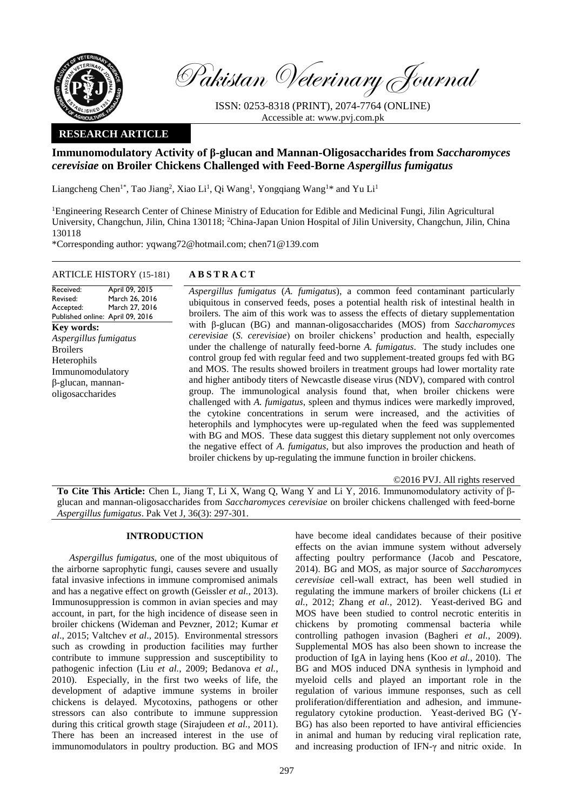

Pakistan Veterinary Journal

ISSN: 0253-8318 (PRINT), 2074-7764 (ONLINE) Accessible at: [www.pvj.com.pk](http://www.pvj.com.pk/)

# **RESEARCH ARTICLE**

# **Immunomodulatory Activity of β-glucan and Mannan-Oligosaccharides from** *Saccharomyces cerevisiae* **on Broiler Chickens Challenged with Feed-Borne** *Aspergillus fumigatus*

Liangcheng Chen<sup>1\*</sup>, Tao Jiang<sup>2</sup>, Xiao Li<sup>1</sup>, Qi Wang<sup>1</sup>, Yongqiang Wang<sup>1\*</sup> and Yu Li<sup>1</sup>

<sup>1</sup>Engineering Research Center of Chinese Ministry of Education for Edible and Medicinal Fungi, Jilin Agricultural University, Changchun, Jilin, China 130118; <sup>2</sup>China-Japan Union Hospital of Jilin University, Changchun, Jilin, China 130118

\*Corresponding author: yqwang72@hotmail.com; chen71@139.com

### ARTICLE HISTORY (15-181) **A B S T R A C T**

Received: Revised: Accepted: Published online: April 09, 2016 April 09, 2015 March 26, 2016 March 27, 2016 **Key words:** *Aspergillus fumigatus* Broilers Heterophils Immunomodulatory β-glucan, mannanoligosaccharides

*Aspergillus fumigatus* (*A. fumigatus*), a common feed contaminant particularly ubiquitous in conserved feeds, poses a potential health risk of intestinal health in broilers. The aim of this work was to assess the effects of dietary supplementation with β-glucan (BG) and mannan-oligosaccharides (MOS) from *Saccharomyces cerevisiae* (*S. cerevisiae*) on broiler chickens' production and health, especially under the challenge of naturally feed-borne *A. fumigatus*. The study includes one control group fed with regular feed and two supplement-treated groups fed with BG and MOS. The results showed broilers in treatment groups had lower mortality rate and higher antibody titers of Newcastle disease virus (NDV), compared with control group. The immunological analysis found that, when broiler chickens were challenged with *A. fumigatus*, spleen and thymus indices were markedly improved, the cytokine concentrations in serum were increased, and the activities of heterophils and lymphocytes were up-regulated when the feed was supplemented with BG and MOS. These data suggest this dietary supplement not only overcomes the negative effect of *A. fumigatus*, but also improves the production and heath of broiler chickens by up-regulating the immune function in broiler chickens.

©2016 PVJ. All rights reserved

**To Cite This Article:** Chen L, Jiang T, Li X, Wang Q, Wang Y and Li Y, 2016. Immunomodulatory activity of βglucan and mannan-oligosaccharides from *Saccharomyces cerevisiae* on broiler chickens challenged with feed-borne *Aspergillus fumigatus*. Pak Vet J, 36(3): 297-301.

# **INTRODUCTION**

*Aspergillus fumigatus*, one of the most ubiquitous of the airborne saprophytic fungi, causes severe and usually fatal invasive infections in immune compromised animals and has a negative effect on growth (Geissler *et al.*, 2013). Immunosuppression is common in avian species and may account, in part, for the high incidence of disease seen in broiler chickens (Wideman and Pevzner, 2012; Kumar *et al*., 2015; Valtchev *et al*., 2015). Environmental stressors such as crowding in production facilities may further contribute to immune suppression and susceptibility to pathogenic infection (Liu *et al.*, 2009; Bedanova *et al.*, 2010). Especially, in the first two weeks of life, the development of adaptive immune systems in broiler chickens is delayed. Mycotoxins, pathogens or other stressors can also contribute to immune suppression during this critical growth stage (Sirajudeen *et al.*, 2011). There has been an increased interest in the use of immunomodulators in poultry production. BG and MOS

have become ideal candidates because of their positive effects on the avian immune system without adversely affecting poultry performance (Jacob and Pescatore, 2014). BG and MOS, as major source of *Saccharomyces cerevisiae* cell-wall extract, has been well studied in regulating the immune markers of broiler chickens (Li *et al.*, 2012; Zhang *et al.*, 2012). Yeast-derived BG and MOS have been studied to control necrotic enteritis in chickens by promoting commensal bacteria while controlling pathogen invasion (Bagheri *et al.*, 2009). Supplemental MOS has also been shown to increase the production of IgA in laying hens (Koo *et al.*, 2010). The BG and MOS induced DNA synthesis in lymphoid and myeloid cells and played an important role in the regulation of various immune responses, such as cell proliferation/differentiation and adhesion, and immuneregulatory cytokine production. Yeast-derived BG (Y-BG) has also been reported to have antiviral efficiencies in animal and human by reducing viral replication rate, and increasing production of IFN-γ and nitric oxide. In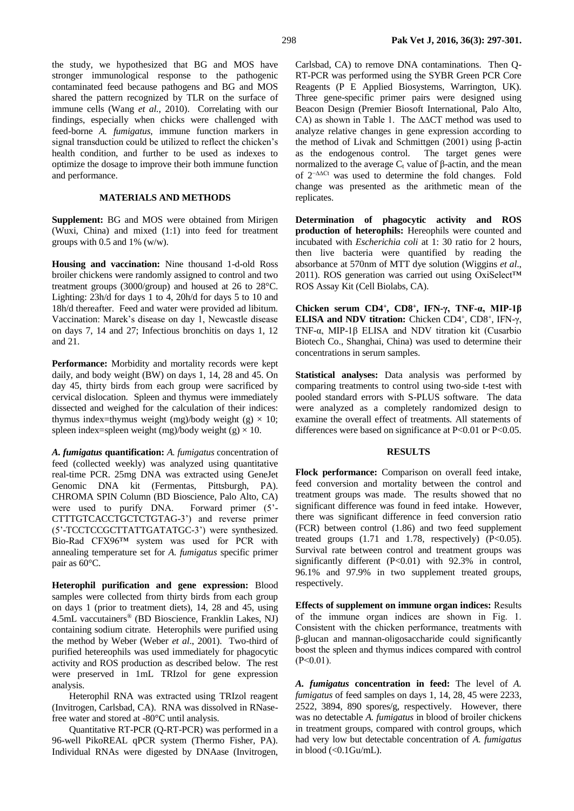the study, we hypothesized that BG and MOS have stronger immunological response to the pathogenic contaminated feed because pathogens and BG and MOS shared the pattern recognized by TLR on the surface of immune cells (Wang *et al.*, 2010). Correlating with our findings, especially when chicks were challenged with feed-borne *A. fumigatus*, immune function markers in signal transduction could be utilized to reflect the chicken's health condition, and further to be used as indexes to optimize the dosage to improve their both immune function and performance.

# **MATERIALS AND METHODS**

**Supplement:** BG and MOS were obtained from Mirigen (Wuxi, China) and mixed (1:1) into feed for treatment groups with  $0.5$  and  $1\%$  (w/w).

**Housing and vaccination:** Nine thousand 1-d-old Ross broiler chickens were randomly assigned to control and two treatment groups (3000/group) and housed at 26 to 28°C. Lighting: 23h/d for days 1 to 4, 20h/d for days 5 to 10 and 18h/d thereafter. Feed and water were provided ad libitum. Vaccination: Marek's disease on day 1, Newcastle disease on days 7, 14 and 27; Infectious bronchitis on days 1, 12 and 21.

**Performance:** Morbidity and mortality records were kept daily, and body weight (BW) on days 1, 14, 28 and 45. On day 45, thirty birds from each group were sacrificed by cervical dislocation. Spleen and thymus were immediately dissected and weighed for the calculation of their indices: thymus index=thymus weight (mg)/body weight (g)  $\times$  10; spleen index=spleen weight (mg)/body weight (g)  $\times$  10.

*A. fumigatus* **quantification:** *A. fumigatus* concentration of feed (collected weekly) was analyzed using quantitative real-time PCR. 25mg DNA was extracted using GeneJet Genomic DNA kit (Fermentas, Pittsburgh, PA). CHROMA SPIN Column (BD Bioscience, Palo Alto, CA) were used to purify DNA. Forward primer (5'- CTTTGTCACCTGCTCTGTAG-3') and reverse primer (5'-TCCTCCGCTTATTGATATGC-3') were synthesized. Bio-Rad CFX96™ system was used for PCR with annealing temperature set for *A. fumigatus* specific primer pair as 60°C.

**Heterophil purification and gene expression:** Blood samples were collected from thirty birds from each group on days 1 (prior to treatment diets), 14, 28 and 45, using 4.5mL vaccutainers® (BD Bioscience, Franklin Lakes, NJ) containing sodium citrate. Heterophils were purified using the method by Weber (Weber *et al*., 2001). Two-third of purified hetereophils was used immediately for phagocytic activity and ROS production as described below. The rest were preserved in 1mL TRIzol for gene expression analysis.

Heterophil RNA was extracted using TRIzol reagent (Invitrogen, Carlsbad, CA). RNA was dissolved in RNasefree water and stored at -80°C until analysis.

Quantitative RT-PCR (Q-RT-PCR) was performed in a 96-well PikoREAL qPCR system (Thermo Fisher, PA). Individual RNAs were digested by DNAase (Invitrogen,

Carlsbad, CA) to remove DNA contaminations. Then Q-RT-PCR was performed using the SYBR Green PCR Core Reagents (P E Applied Biosystems, Warrington, UK). Three gene-specific primer pairs were designed using Beacon Design (Premier Biosoft International, Palo Alto, CA) as shown in Table 1. The ∆∆CT method was used to analyze relative changes in gene expression according to the method of Livak and Schmittgen  $(2001)$  using  $\beta$ -actin as the endogenous control. The target genes were as the endogenous control. normalized to the average  $C_t$  value of β-actin, and the mean of 2−∆∆Ct was used to determine the fold changes. Fold change was presented as the arithmetic mean of the replicates.

**Determination of phagocytic activity and ROS production of heterophils:** Hereophils were counted and incubated with *Escherichia coli* at 1: 30 ratio for 2 hours, then live bacteria were quantified by reading the absorbance at 570nm of MTT dye solution (Wiggins *et al*., 2011). ROS generation was carried out using OxiSelect™ ROS Assay Kit (Cell Biolabs, CA).

**Chicken serum CD4<sup>+</sup> , CD8<sup>+</sup> , IFN-γ, TNF-α, MIP-1β ELISA and NDV titration:** Chicken CD4<sup>+</sup>, CD8<sup>+</sup>, IFN-γ, TNF-α, MIP-1β ELISA and NDV titration kit (Cusarbio Biotech Co., Shanghai, China) was used to determine their concentrations in serum samples.

**Statistical analyses:** Data analysis was performed by comparing treatments to control using two-side t-test with pooled standard errors with S-PLUS software. The data were analyzed as a completely randomized design to examine the overall effect of treatments. All statements of differences were based on significance at  $P<0.01$  or  $P<0.05$ .

#### **RESULTS**

**Flock performance:** Comparison on overall feed intake, feed conversion and mortality between the control and treatment groups was made. The results showed that no significant difference was found in feed intake. However, there was significant difference in feed conversion ratio (FCR) between control (1.86) and two feed supplement treated groups  $(1.71 \text{ and } 1.78, \text{ respectively})$   $(P<0.05)$ . Survival rate between control and treatment groups was significantly different (P<0.01) with 92.3% in control, 96.1% and 97.9% in two supplement treated groups, respectively.

**Effects of supplement on immune organ indices:** Results of the immune organ indices are shown in Fig. 1. Consistent with the chicken performance, treatments with β-glucan and mannan-oligosaccharide could significantly boost the spleen and thymus indices compared with control  $(P<0.01)$ .

*A. fumigatus* **concentration in feed:** The level of *A. fumigatus* of feed samples on days 1, 14, 28, 45 were 2233, 2522, 3894, 890 spores/g, respectively. However, there was no detectable *A. fumigatus* in blood of broiler chickens in treatment groups, compared with control groups, which had very low but detectable concentration of *A. fumigatus* in blood  $\left\langle \langle 0.1 \text{Gu/mL} \right\rangle$ .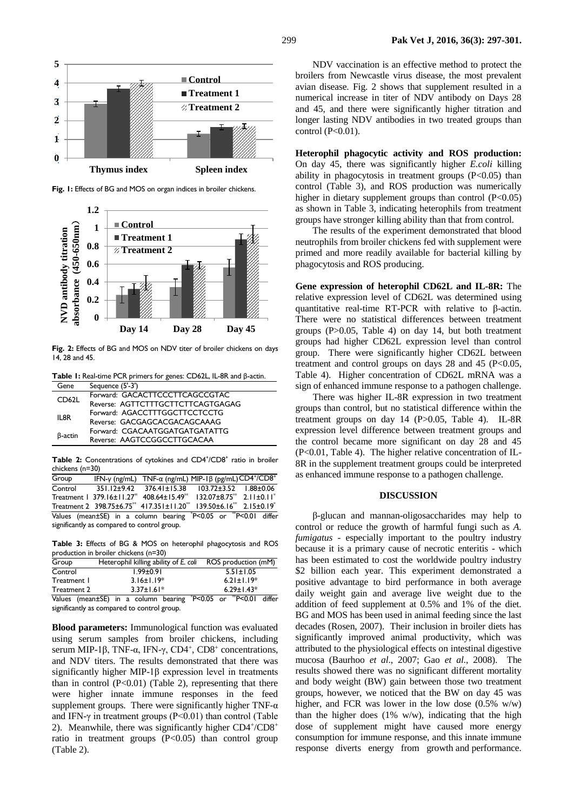

**Thymus index Spleen index**

**Fig. 1:** Effects of BG and MOS on organ indices in broiler chickens.



**Fig. 2:** Effects of BG and MOS on NDV titer of broiler chickens on days 14, 28 and 45.

**Table 1:** Real-time PCR primers for genes: CD62L, IL-8R and β-actin.

| Gene               | Sequence (5'-3')                  |
|--------------------|-----------------------------------|
| CD <sub>62</sub> L | Forward: GACACTTCCCTTCAGCCGTAC    |
|                    | Reverse: AGTTCTTTGCTTCTTCAGTGAGAG |
| IL8R               | Forward: AGACCTTTGGCTTCCTCCTG     |
|                    | Reverse: GACGAGCACGACAGCAAAG      |
| B-actin            | Forward: CGACAATGGATGATGATATTG    |
|                    | Reverse: AAGTCCGGCCTTGCACAA       |
|                    |                                   |

Table 2: Concentrations of cytokines and CD4<sup>+</sup>/CD8<sup>+</sup> ratio in broiler chickens (n=30)

| Group                                       |  | IFN-y (ng/mL) $TNF-\alpha$ (ng/mL) MIP-1 $\beta$ (pg/mL)CD4 <sup>+</sup> /CD8 <sup>+</sup>                                                |  |  |  |  |
|---------------------------------------------|--|-------------------------------------------------------------------------------------------------------------------------------------------|--|--|--|--|
| Control                                     |  | 351.12±9.42 376.41±15.38 103.72±3.52 1.88±0.06                                                                                            |  |  |  |  |
|                                             |  | Treatment   379.16 $\pm$ 11.27 <sup>*</sup> 408.64 $\pm$ 15.49 <sup>**</sup> 132.07 $\pm$ 8.75 <sup>**</sup> 2.11 $\pm$ 0.11 <sup>*</sup> |  |  |  |  |
|                                             |  | Treatment 2 398.75±6.75 <sup>**</sup> 417.351±11.20 <sup>**</sup> 139.50±6.16 <sup>**</sup> 2.15±0.19 <sup>*</sup>                        |  |  |  |  |
|                                             |  | Values (mean±SE) in a column bearing *P<0.05 or **P<0.01 differ                                                                           |  |  |  |  |
| significantly as compared to control group. |  |                                                                                                                                           |  |  |  |  |

**Table 3:** Effects of BG & MOS on heterophil phagocytosis and ROS production in broiler chickens (n=30)

| Group       | Heterophil killing ability of E. coli | ROS production (mM)                                |  |  |
|-------------|---------------------------------------|----------------------------------------------------|--|--|
| Control     | $1.99 \pm 0.91$                       | $5.51 \pm 1.05$                                    |  |  |
| Treatment 1 | $3.16 \pm 1.19*$                      | $6.21 \pm 1.19*$                                   |  |  |
| Treatment 2 | $3.37 \pm 1.61*$                      | $6.29 \pm 1.43*$                                   |  |  |
| $\cdots$    |                                       | $\rightarrow$<br>$\mathbf{z}$ $\mathbf{z}$<br>1.00 |  |  |

Values (mean±SE) in a column bearing \*P<0.05 or \*\*P<0.01 differ significantly as compared to control group.

**Blood parameters:** Immunological function was evaluated using serum samples from broiler chickens, including serum MIP-1β, TNF-α, IFN-γ, CD4<sup>+</sup>, CD8<sup>+</sup> concentrations, and NDV titers. The results demonstrated that there was significantly higher MIP-1β expression level in treatments than in control  $(P<0.01)$  (Table 2), representing that there were higher innate immune responses in the feed supplement groups. There were significantly higher TNF- $\alpha$ and IFN- $\gamma$  in treatment groups (P<0.01) than control (Table 2). Meanwhile, there was significantly higher CD4+/CD8+ ratio in treatment groups  $(P<0.05)$  than control group (Table 2).

NDV vaccination is an effective method to protect the broilers from Newcastle virus disease, the most prevalent avian disease. Fig. 2 shows that supplement resulted in a numerical increase in titer of NDV antibody on Days 28 and 45, and there were significantly higher titration and longer lasting NDV antibodies in two treated groups than control (P<0.01).

**Heterophil phagocytic activity and ROS production:**  On day 45, there was significantly higher *E.coli* killing ability in phagocytosis in treatment groups  $(P<0.05)$  than control (Table 3), and ROS production was numerically higher in dietary supplement groups than control  $(P<0.05)$ as shown in Table 3, indicating heterophils from treatment groups have stronger killing ability than that from control.

The results of the experiment demonstrated that blood neutrophils from broiler chickens fed with supplement were primed and more readily available for bacterial killing by phagocytosis and ROS producing.

**Gene expression of heterophil CD62L and IL-8R:** The relative expression level of CD62L was determined using quantitative real-time RT-PCR with relative to β-actin. There were no statistical differences between treatment groups (P>0.05, Table 4) on day 14, but both treatment groups had higher CD62L expression level than control group. There were significantly higher CD62L between treatment and control groups on days  $28$  and  $45$  (P<0.05, Table 4). Higher concentration of CD62L mRNA was a sign of enhanced immune response to a pathogen challenge.

There was higher IL-8R expression in two treatment groups than control, but no statistical difference within the treatment groups on day 14 (P>0.05, Table 4). IL-8R expression level difference between treatment groups and the control became more significant on day 28 and 45 (P<0.01, Table 4). The higher relative concentration of IL-8R in the supplement treatment groups could be interpreted as enhanced immune response to a pathogen challenge.

#### **DISCUSSION**

β-glucan and mannan-oligosaccharides may help to control or reduce the growth of harmful fungi such as *A. fumigatus* - especially important to the poultry industry because it is a primary cause of necrotic enteritis - which has been estimated to cost the worldwide poultry industry \$2 billion each year. This experiment demonstrated a positive advantage to bird performance in both average daily weight gain and average live weight due to the addition of feed supplement at 0.5% and 1% of the diet. BG and MOS has been used in animal feeding since the last decades (Rosen, 2007). Their inclusion in broiler diets has significantly improved animal productivity, which was attributed to the physiological effects on intestinal digestive mucosa (Baurhoo *et al*., 2007; Gao *et al*., 2008). The results showed there was no significant different mortality and body weight (BW) gain between those two treatment groups, however, we noticed that the BW on day 45 was higher, and FCR was lower in the low dose (0.5% w/w) than the higher does  $(1\% \t w/w)$ , indicating that the high dose of supplement might have caused more energy consumption for immune response, and this innate immune response diverts energy from growth and performance.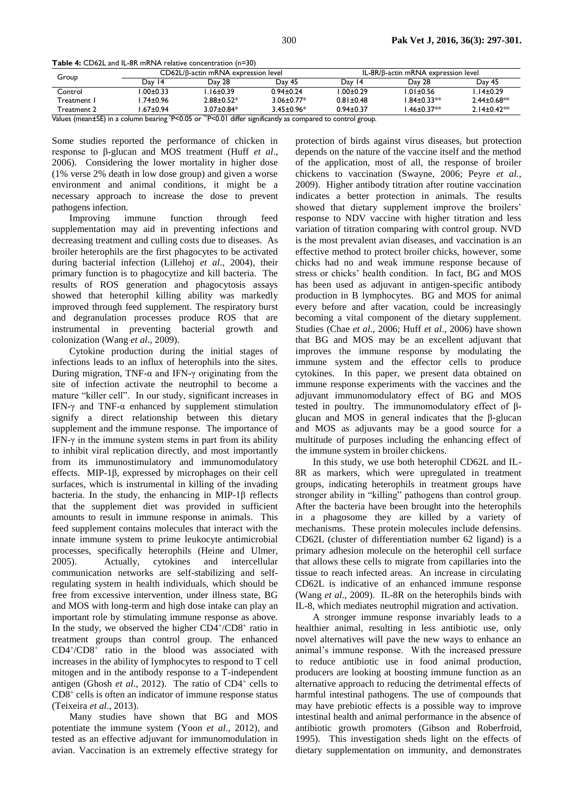```
Table 4: CD62L and IL-8R mRNA relative concentration (n=30)
```

| Group       | CD62L/B-actin mRNA expression level |                  |                  | IL-8R/B-actin mRNA expression level |                   |                   |
|-------------|-------------------------------------|------------------|------------------|-------------------------------------|-------------------|-------------------|
|             | Dav<br>14                           | Dav 28           | Dav 45           | Day 14                              | Day 28            | Day 45            |
| Control     | $.00 \pm 0.33$                      | .16±0.39         | $0.94 \pm 0.24$  | l.00±0.29                           | $1.01 \pm 0.56$   | l.14±0.29         |
| Treatment I | .74±0.96                            | $2.88 + 0.52*$   | $3.06 + 0.77*$   | $0.81 \pm 0.48$                     | $1.84 \pm 0.33**$ | $2.44 \pm 0.68**$ |
| Treatment 2 | $.67 \pm 0.94$                      | $3.07 \pm 0.84*$ | $3.45 \pm 0.96*$ | $0.94 \pm 0.37$                     | $1.46 \pm 0.37**$ | $2.14 \pm 0.42**$ |

Values (mean±SE) in a column bearing \*P<0.05 or \*\*P<0.01 differ significantly as compared to control group.

Some studies reported the performance of chicken in response to β-glucan and MOS treatment (Huff *et al*., 2006). Considering the lower mortality in higher dose (1% verse 2% death in low dose group) and given a worse environment and animal conditions, it might be a necessary approach to increase the dose to prevent pathogens infection.

Improving immune function through feed supplementation may aid in preventing infections and decreasing treatment and culling costs due to diseases. As broiler heterophils are the first phagocytes to be activated during bacterial infection (Lillehoj *et al*., 2004), their primary function is to phagocytize and kill bacteria. The results of ROS generation and phagocytosis assays showed that heterophil killing ability was markedly improved through feed supplement. The respiratory burst and degranulation processes produce ROS that are instrumental in preventing bacterial growth and colonization (Wang *et al*., 2009).

Cytokine production during the initial stages of infections leads to an influx of heterophils into the sites. During migration, TNF-α and IFN-γ originating from the site of infection activate the neutrophil to become a mature "killer cell". In our study, significant increases in IFN- $\gamma$  and TNF- $\alpha$  enhanced by supplement stimulation signify a direct relationship between this dietary supplement and the immune response. The importance of IFN- $\gamma$  in the immune system stems in part from its ability to inhibit viral replication directly, and most importantly from its immunostimulatory and immunomodulatory effects. MIP-1β, expressed by microphages on their cell surfaces, which is instrumental in killing of the invading bacteria. In the study, the enhancing in MIP-1β reflects that the supplement diet was provided in sufficient amounts to result in immune response in animals. This feed supplement contains molecules that interact with the innate immune system to prime leukocyte antimicrobial processes, specifically heterophils (Heine and Ulmer, 2005). Actually, cytokines and intercellular communication networks are self-stabilizing and selfregulating system in health individuals, which should be free from excessive intervention, under illness state, BG and MOS with long-term and high dose intake can play an important role by stimulating immune response as above. In the study, we observed the higher  $CD4^{\text{+}}$ / $CD8^{\text{+}}$  ratio in treatment groups than control group. The enhanced CD4<sup>+</sup> /CD8<sup>+</sup> ratio in the blood was associated with increases in the ability of lymphocytes to respond to T cell mitogen and in the antibody response to a T-independent antigen (Ghosh et al., 2012). The ratio of CD4<sup>+</sup> cells to CD8<sup>+</sup> cells is often an indicator of immune response status (Teixeira *et al*., 2013).

Many studies have shown that BG and MOS potentiate the immune system (Yoon *et al*., 2012), and tested as an effective adjuvant for immunomodulation in avian. Vaccination is an extremely effective strategy for

protection of birds against virus diseases, but protection depends on the nature of the vaccine itself and the method of the application, most of all, the response of broiler chickens to vaccination (Swayne, 2006; Peyre *et al.*, 2009). Higher antibody titration after routine vaccination indicates a better protection in animals. The results showed that dietary supplement improve the broilers' response to NDV vaccine with higher titration and less variation of titration comparing with control group. NVD is the most prevalent avian diseases, and vaccination is an effective method to protect broiler chicks, however, some chicks had no and weak immune response because of stress or chicks' health condition. In fact, BG and MOS has been used as adjuvant in antigen-specific antibody production in B lymphocytes. BG and MOS for animal every before and after vacation, could be increasingly becoming a vital component of the dietary supplement. Studies (Chae *et al*., 2006; Huff *et al*., 2006) have shown that BG and MOS may be an excellent adjuvant that improves the immune response by modulating the immune system and the effector cells to produce cytokines. In this paper, we present data obtained on immune response experiments with the vaccines and the adjuvant immunomodulatory effect of BG and MOS tested in poultry. The immunomodulatory effect of βglucan and MOS in general indicates that the β-glucan and MOS as adjuvants may be a good source for a multitude of purposes including the enhancing effect of the immune system in broiler chickens.

In this study, we use both heterophil CD62L and IL-8R as markers, which were upregulated in treatment groups, indicating heterophils in treatment groups have stronger ability in "killing" pathogens than control group. After the bacteria have been brought into the heterophils in a phagosome they are killed by a variety of mechanisms. These protein molecules include defensins. CD62L (cluster of differentiation number 62 ligand) is a primary adhesion molecule on the heterophil cell surface that allows these cells to migrate from capillaries into the tissue to reach infected areas. An increase in circulating CD62L is indicative of an enhanced immune response (Wang *et al*., 2009). IL-8R on the heterophils binds with IL-8, which mediates neutrophil migration and activation.

A stronger immune response invariably leads to a healthier animal, resulting in less antibiotic use, only novel alternatives will pave the new ways to enhance an animal's immune response. With the increased pressure to reduce antibiotic use in food animal production, producers are looking at boosting immune function as an alternative approach to reducing the detrimental effects of harmful intestinal pathogens. The use of compounds that may have prebiotic effects is a possible way to improve intestinal health and animal performance in the absence of antibiotic growth promoters (Gibson and Roberfroid, 1995). This investigation sheds light on the effects of dietary supplementation on immunity, and demonstrates